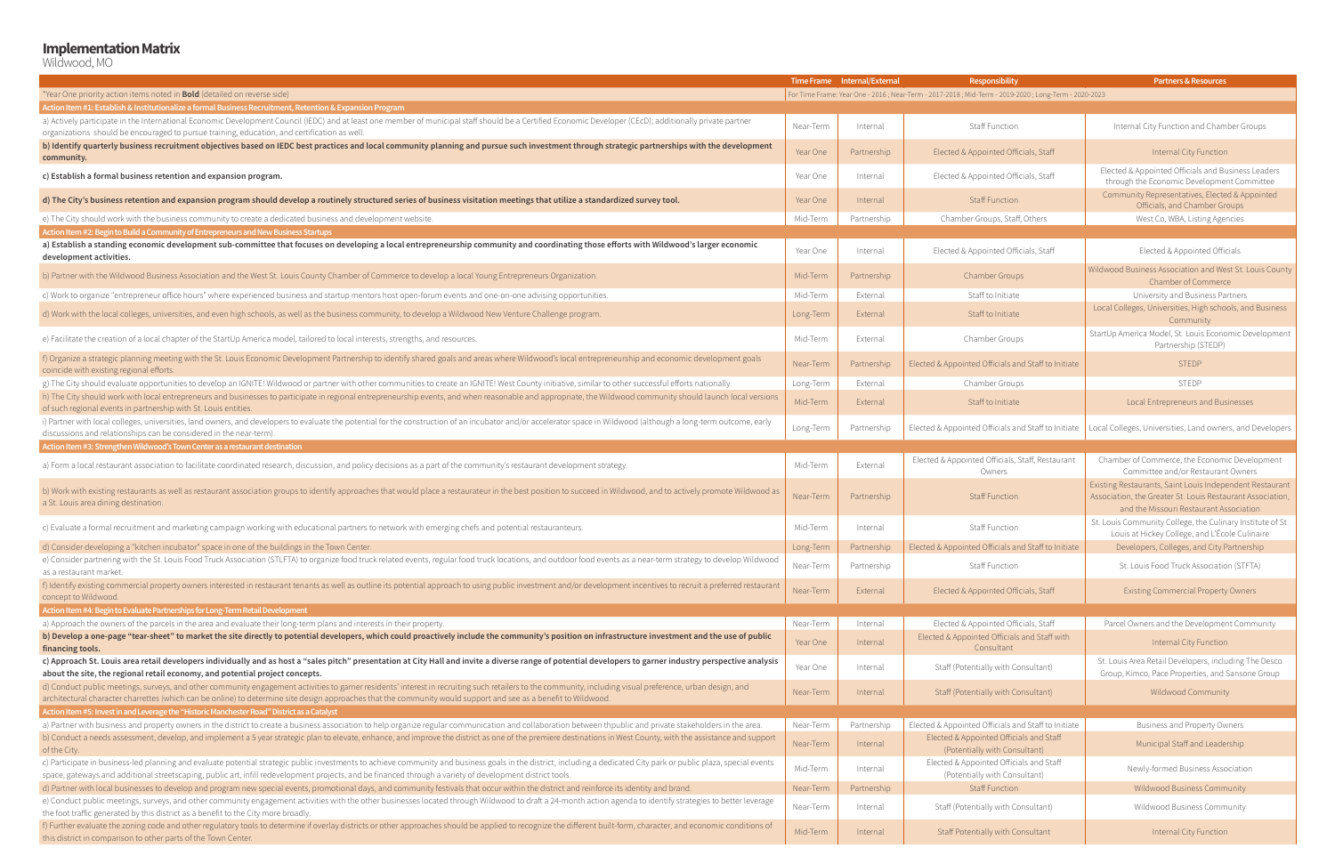#### **Implementation Matrix**

Wildwood, MO

|                                                                                                                                                                                                                                                                                                                                                                                   |           | Time Frame Internal/External | Responsibility                                                                                         | <b>Partners &amp; Resources</b>                                                                                                                                   |
|-----------------------------------------------------------------------------------------------------------------------------------------------------------------------------------------------------------------------------------------------------------------------------------------------------------------------------------------------------------------------------------|-----------|------------------------------|--------------------------------------------------------------------------------------------------------|-------------------------------------------------------------------------------------------------------------------------------------------------------------------|
| *Year One priority action items noted in <b>Bold</b> (detailed on reverse side)                                                                                                                                                                                                                                                                                                   |           |                              | For Time Frame: Year One - 2016 ; Near-Term - 2017-2018 ; Mid-Term - 2019-2020 ; Long-Term - 2020-2023 |                                                                                                                                                                   |
| Action Item #1: Establish & Institutionalize a formal Business Recruitment, Retention & Expansion Program                                                                                                                                                                                                                                                                         |           |                              |                                                                                                        |                                                                                                                                                                   |
| a) Actively participate in the International Economic Development Council (IEDC) and at least one member of municipal staff should be a Certified Economic Developer (CEcD); additionally private partner<br>organizations should be encouraged to pursue training, education, and certification as well.                                                                         | Near-Term | Internal                     | Staff Function                                                                                         | Internal City Function and Chamber Groups                                                                                                                         |
| b) Identify quarterly business recruitment objectives based on IEDC best practices and local community planning and pursue such investment through strategic partnerships with the development<br>community.                                                                                                                                                                      | Year One  | Partnership                  | Elected & Appointed Officials, Staff                                                                   | Internal City Function                                                                                                                                            |
| c) Establish a formal business retention and expansion program.                                                                                                                                                                                                                                                                                                                   | Year One  | Internal                     | Elected & Appointed Officials, Staff                                                                   | Elected & Appointed Officials and Business Leaders<br>through the Economic Development Committee                                                                  |
| d) The City's business retention and expansion program should develop a routinely structured series of business visitation meetings that utilize a standardized survey tool.                                                                                                                                                                                                      | Year One  | Internal                     | <b>Staff Function</b>                                                                                  | Community Representatives, Elected & Appointed<br>Officials, and Chamber Groups                                                                                   |
| e) The City should work with the business community to create a dedicated business and development website.                                                                                                                                                                                                                                                                       | Mid-Term  | Partnership                  | Chamber Groups, Staff, Others                                                                          | West Co, WBA, Listing Agencies                                                                                                                                    |
| Action Item #2: Begin to Build a Community of Entrepreneurs and New Business Startups                                                                                                                                                                                                                                                                                             |           |                              |                                                                                                        |                                                                                                                                                                   |
| a) Establish a standing economic development sub-committee that focuses on developing a local entrepreneurship community and coordinating those efforts with Wildwood's larger economic<br>development activities.                                                                                                                                                                | Year One  | Internal                     | Elected & Appointed Officials, Staff                                                                   | Elected & Appointed Officials                                                                                                                                     |
| b) Partner with the Wildwood Business Association and the West St. Louis County Chamber of Commerce to develop a local Young Entrepreneurs Organization.                                                                                                                                                                                                                          | Mid-Term  | Partnership                  | <b>Chamber Groups</b>                                                                                  | Wildwood Business Association and West St. Louis County<br>Chamber of Commerce                                                                                    |
| c) Work to organize "entrepreneur office hours" where experienced business and startup mentors host open-forum events and one-on-one advising opportunities.                                                                                                                                                                                                                      | Mid-Term  | External                     | Staff to Initiate                                                                                      | University and Business Partners                                                                                                                                  |
| d) Work with the local colleges, universities, and even high schools, as well as the business community, to develop a Wildwood New Venture Challenge program.                                                                                                                                                                                                                     | Long-Term | External                     | Staff to Initiate                                                                                      | Local Colleges, Universities, High schools, and Business<br>Community                                                                                             |
| e) Facilitate the creation of a local chapter of the StartUp America model, tailored to local interests, strengths, and resources.                                                                                                                                                                                                                                                | Mid-Term  | External                     | Chamber Groups                                                                                         | StartUp America Model, St. Louis Economic Development<br>Partnership (STEDP)                                                                                      |
| f) Organize a strategic planning meeting with the St. Louis Economic Development Partnership to identify shared goals and areas where Wildwood's local entrepreneurship and economic development goals<br>coincide with existing regional efforts.                                                                                                                                | Near-Term | Partnership                  | Elected & Appointed Officials and Staff to Initiate                                                    | <b>STEDP</b>                                                                                                                                                      |
| g) The City should evaluate opportunities to develop an IGNITE! Wildwood or partner with other communities to create an IGNITE! West County initiative, similar to other successful efforts nationally.                                                                                                                                                                           | Long-Term | External                     | Chamber Groups                                                                                         | STEDP                                                                                                                                                             |
| h) The City should work with local entrepreneurs and businesses to participate in regional entrepreneurship events, and when reasonable and appropriate, the Wildwood community should launch local versions<br>of such regional events in partnership with St. Louis entities.                                                                                                   | Mid-Term  | External                     | Staff to Initiate                                                                                      | Local Entrepreneurs and Businesses                                                                                                                                |
| i) Partner with local colleges, universities, land owners, and developers to evaluate the potential for the construction of an incubator and/or accelerator space in Wildwood (although a long-term outcome, early<br>discussions and relationships can be considered in the near-term).                                                                                          | Long-Term | Partnership                  | Elected & Appointed Officials and Staff to Initiate                                                    | Local Colleges, Universities, Land owners, and Developers                                                                                                         |
| Action Item #3: Strengthen Wildwood's Town Center as a restaurant destination                                                                                                                                                                                                                                                                                                     |           |                              |                                                                                                        |                                                                                                                                                                   |
| a) Form a local restaurant association to facilitate coordinated research, discussion, and policy decisions as a part of the community's restaurant development strategy.                                                                                                                                                                                                         | Mid-Term  | External                     | Elected & Appointed Officials, Staff, Restaurant<br>Owners                                             | Chamber of Commerce, the Economic Development<br>Committee and/or Restaurant Owners                                                                               |
| b) Work with existing restaurants as well as restaurant association groups to identify approaches that would place a restaurateur in the best position to succeed in Wildwood, and to actively promote Wildwood as<br>a St. Louis area dining destination.                                                                                                                        | Near-Term | Partnership                  | <b>Staff Function</b>                                                                                  | Existing Restaurants, Saint Louis Independent Restaurant<br>Association, the Greater St. Louis Restaurant Association,<br>and the Missouri Restaurant Association |
| c) Evaluate a formal recruitment and marketing campaign working with educational partners to network with emerging chefs and potential restauranteurs.                                                                                                                                                                                                                            | Mid-Term  | Internal                     | Staff Function                                                                                         | St. Louis Community College, the Culinary Institute of St.<br>Louis at Hickey College, and L'École Culinaire                                                      |
| d) Consider developing a "kitchen incubator" space in one of the buildings in the Town Center.                                                                                                                                                                                                                                                                                    | Long-Term | Partnership                  | Elected & Appointed Officials and Staff to Initiate                                                    | Developers, Colleges, and City Partnership                                                                                                                        |
| e) Consider partnering with the St. Louis Food Truck Association (STLFTA) to organize food truck related events, regular food truck locations, and outdoor food events as a near-term strategy to develop Wildwood<br>as a restaurant market.                                                                                                                                     | Near-Term | Partnership                  | Staff Function                                                                                         | St. Louis Food Truck Association (STFTA)                                                                                                                          |
| f) Identify existing commercial property owners interested in restaurant tenants as well as outline its potential approach to using public investment and/or development incentives to recruit a preferred restaurant<br>concept to Wildwood.                                                                                                                                     | Near-Term | External                     | Elected & Appointed Officials, Staff                                                                   | <b>Existing Commercial Property Owners</b>                                                                                                                        |
| Action Item #4: Begin to Evaluate Partnerships for Long-Term Retail Development                                                                                                                                                                                                                                                                                                   |           |                              |                                                                                                        |                                                                                                                                                                   |
| a) Approach the owners of the parcels in the area and evaluate their long-term plans and interests in their property.                                                                                                                                                                                                                                                             | Near-Term | Internal                     | Elected & Appointed Officials, Staff                                                                   | Parcel Owners and the Development Community                                                                                                                       |
| b) Develop a one-page "tear-sheet" to market the site directly to potential developers, which could proactively include the community's position on infrastructure investment and the use of public<br>financing tools.                                                                                                                                                           | Year One  | Internal                     | Elected & Appointed Officials and Staff with<br>Consultant                                             | Internal City Function                                                                                                                                            |
| c) Approach St. Louis area retail developers individually and as host a "sales pitch" presentation at City Hall and invite a diverse range of potential developers to garner industry perspective analysis<br>about the site, the regional retail economy, and potential project concepts.                                                                                        | Year One  | Internal                     | Staff (Potentially with Consultant)                                                                    | St. Louis Area Retail Developers, including The Desco<br>Group, Kimco, Pace Properties, and Sansone Group                                                         |
| d) Conduct public meetings, surveys, and other community engagement activities to garner residents' interest in recruiting such retailers to the community, including visual preference, urban design, and<br>architectural character charrettes (which can be online) to determine site design approaches that the community would support and see as a benefit to Wildwood.     | Near-Term | Internal                     | Staff (Potentially with Consultant)                                                                    | Wildwood Community                                                                                                                                                |
| Action Item #5: Invest in and Leverage the "Historic Manchester Road" District as a Catalyst                                                                                                                                                                                                                                                                                      |           |                              |                                                                                                        |                                                                                                                                                                   |
| a) Partner with business and property owners in the district to create a business association to help organize regular communication and collaboration between thpublic and private stakeholders in the area.                                                                                                                                                                     | Near-Term | Partnership                  | Elected & Appointed Officials and Staff to Initiate                                                    | Business and Property Owners                                                                                                                                      |
| b) Conduct a needs assessment, develop, and implement a 5 year strategic plan to elevate, enhance, and improve the district as one of the premiere destinations in West County, with the assistance and support<br>of the City.                                                                                                                                                   | Near-Term | Internal                     | Elected & Appointed Officials and Staff<br>(Potentially with Consultant)                               | Municipal Staff and Leadership                                                                                                                                    |
| c) Participate in business-led planning and evaluate potential strategic public investments to achieve community and business goals in the district, including a dedicated City park or public plaza, special events<br>space, gateways and additional streetscaping, public art, infill redevelopment projects, and be financed through a variety of development district tools. | Mid-Term  | Internal                     | Elected & Appointed Officials and Staff<br>(Potentially with Consultant)                               | Newly-formed Business Association                                                                                                                                 |
| d) Partner with local businesses to develop and program new special events, promotional days, and community festivals that occur within the district and reinforce its identity and brand.                                                                                                                                                                                        | Near-Term | Partnership                  | Staff Function                                                                                         | Wildwood Business Community                                                                                                                                       |
| e) Conduct public meetings, surveys, and other community engagement activities with the other businesses located through Wildwood to draft a 24-month action agenda to identify strategies to better leverage<br>the foot traffic generated by this district as a benefit to the City more broadly.                                                                               | Near-Term | Internal                     | Staff (Potentially with Consultant)                                                                    | Wildwood Business Community                                                                                                                                       |
| f) Further evaluate the zoning code and other regulatory tools to determine if overlay districts or other approaches should be applied to recognize the different built-form, character, and economic conditions of<br>this district in comparison to other parts of the Town Center.                                                                                             | Mid-Term  | Internal                     | Staff Potentially with Consultant                                                                      | Internal City Function                                                                                                                                            |